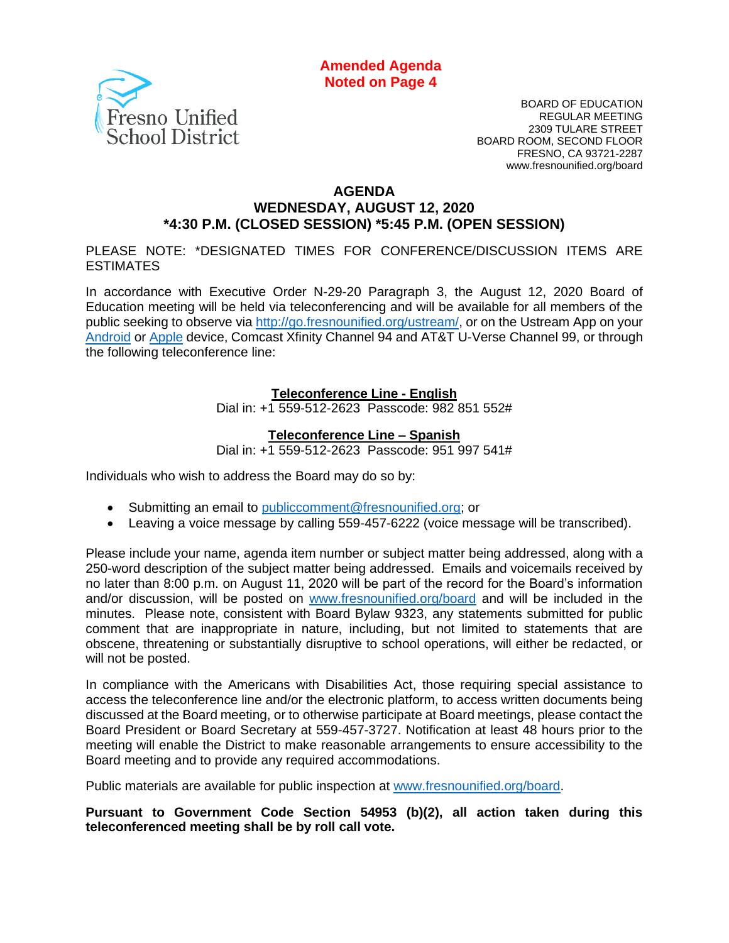**Amended Agenda Noted on Page 4**



BOARD OF EDUCATION REGULAR MEETING 2309 TULARE STREET BOARD ROOM, SECOND FLOOR FRESNO, CA 93721-2287 www.fresnounified.org/board

#### **AGENDA**

#### **WEDNESDAY, AUGUST 12, 2020 \*4:30 P.M. (CLOSED SESSION) \*5:45 P.M. (OPEN SESSION)**

PLEASE NOTE: \*DESIGNATED TIMES FOR CONFERENCE/DISCUSSION ITEMS ARE **ESTIMATES** 

In accordance with Executive Order N-29-20 Paragraph 3, the August 12, 2020 Board of Education meeting will be held via teleconferencing and will be available for all members of the public seeking to observe via [http://go.fresnounified.org/ustream/,](http://go.fresnounified.org/ustream/) or on the Ustream App on your [Android](https://play.google.com/store/apps/details?id=tv.ustream.ustream&hl=en_US) or [Apple](https://itunes.apple.com/us/app/ustream/id301520250?mt=8) device, Comcast Xfinity Channel 94 and AT&T U-Verse Channel 99, or through the following teleconference line:

#### **Teleconference Line - English**

Dial in: +1 559-512-2623 Passcode: 982 851 552#

#### **Teleconference Line – Spanish**

Dial in: +1 559-512-2623 Passcode: 951 997 541#

Individuals who wish to address the Board may do so by:

- Submitting an email to [publiccomment@fresnounified.org;](mailto:publiccomment@fresnounified.org) or
- Leaving a voice message by calling 559-457-6222 (voice message will be transcribed).

Please include your name, agenda item number or subject matter being addressed, along with a 250-word description of the subject matter being addressed. Emails and voicemails received by no later than 8:00 p.m. on August 11, 2020 will be part of the record for the Board's information and/or discussion, will be posted on [www.fresnounified.org/board](http://www.fresnounified.org/board) and will be included in the minutes. Please note, consistent with Board Bylaw 9323, any statements submitted for public comment that are inappropriate in nature, including, but not limited to statements that are obscene, threatening or substantially disruptive to school operations, will either be redacted, or will not be posted.

In compliance with the Americans with Disabilities Act, those requiring special assistance to access the teleconference line and/or the electronic platform, to access written documents being discussed at the Board meeting, or to otherwise participate at Board meetings, please contact the Board President or Board Secretary at 559-457-3727. Notification at least 48 hours prior to the meeting will enable the District to make reasonable arrangements to ensure accessibility to the Board meeting and to provide any required accommodations.

Public materials are available for public inspection at [www.fresnounified.org/board.](http://www.fresnounified.org/board)

**Pursuant to Government Code Section 54953 (b)(2), all action taken during this teleconferenced meeting shall be by roll call vote.**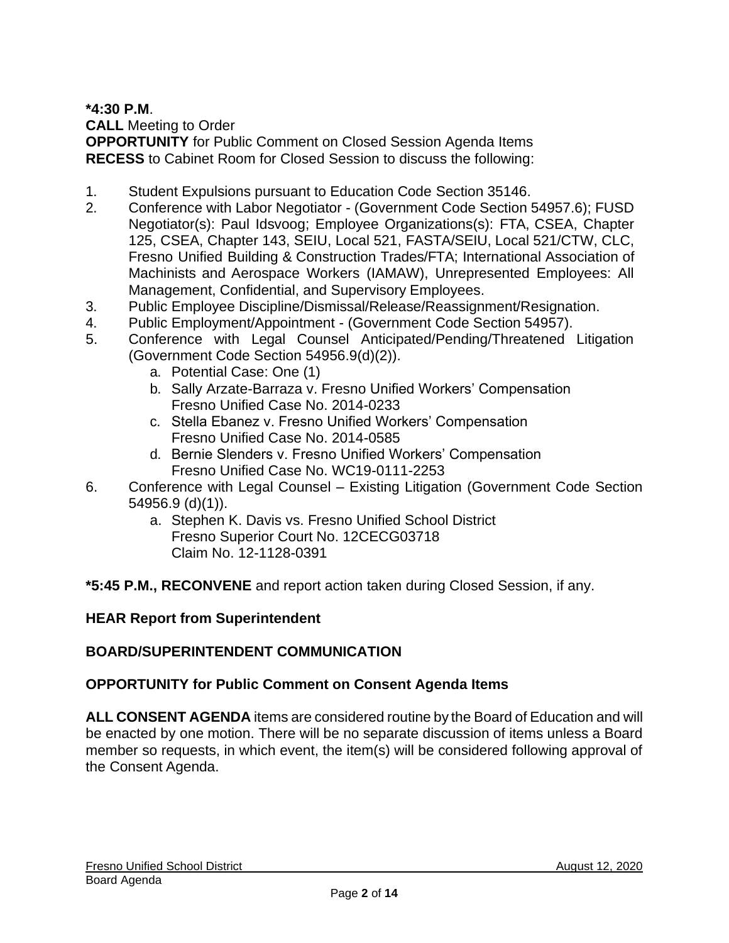## **\*4:30 P.M**.

**CALL** Meeting to Order **OPPORTUNITY** for Public Comment on Closed Session Agenda Items **RECESS** to Cabinet Room for Closed Session to discuss the following:

- 1. Student Expulsions pursuant to Education Code Section 35146.
- 2. Conference with Labor Negotiator (Government Code Section 54957.6); FUSD Negotiator(s): Paul Idsvoog; Employee Organizations(s): FTA, CSEA, Chapter 125, CSEA, Chapter 143, SEIU, Local 521, FASTA/SEIU, Local 521/CTW, CLC, Fresno Unified Building & Construction Trades/FTA; International Association of Machinists and Aerospace Workers (IAMAW), Unrepresented Employees: All Management, Confidential, and Supervisory Employees.
- 3. Public Employee Discipline/Dismissal/Release/Reassignment/Resignation.
- 4. Public Employment/Appointment (Government Code Section 54957).
- 5. Conference with Legal Counsel Anticipated/Pending/Threatened Litigation (Government Code Section 54956.9(d)(2)).
	- a. Potential Case: One (1)
	- b. Sally Arzate-Barraza v. Fresno Unified Workers' Compensation Fresno Unified Case No. 2014-0233
	- c. Stella Ebanez v. Fresno Unified Workers' Compensation Fresno Unified Case No. 2014-0585
	- d. Bernie Slenders v. Fresno Unified Workers' Compensation Fresno Unified Case No. WC19-0111-2253
- 6. Conference with Legal Counsel Existing Litigation (Government Code Section 54956.9 (d)(1)).
	- a. Stephen K. Davis vs. Fresno Unified School District Fresno Superior Court No. 12CECG03718 Claim No. 12-1128-0391

**\*5:45 P.M., RECONVENE** and report action taken during Closed Session, if any.

## **HEAR Report from Superintendent**

## **BOARD/SUPERINTENDENT COMMUNICATION**

## **OPPORTUNITY for Public Comment on Consent Agenda Items**

**ALL CONSENT AGENDA** items are considered routine by the Board of Education and will be enacted by one motion. There will be no separate discussion of items unless a Board member so requests, in which event, the item(s) will be considered following approval of the Consent Agenda.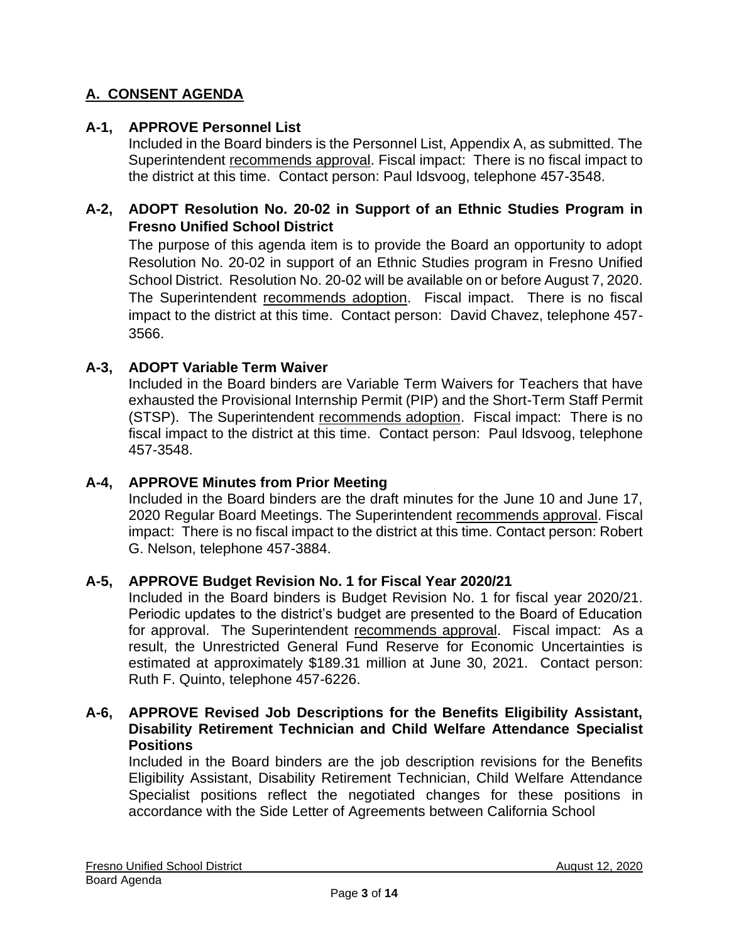# **A. CONSENT AGENDA**

#### **A-1, APPROVE Personnel List**

Included in the Board binders is the Personnel List, Appendix A, as submitted. The Superintendent recommends approval. Fiscal impact: There is no fiscal impact to the district at this time. Contact person: Paul Idsvoog, telephone 457-3548.

### **A-2, ADOPT Resolution No. 20-02 in Support of an Ethnic Studies Program in Fresno Unified School District**

The purpose of this agenda item is to provide the Board an opportunity to adopt Resolution No. 20-02 in support of an Ethnic Studies program in Fresno Unified School District. Resolution No. 20-02 will be available on or before August 7, 2020. The Superintendent recommends adoption. Fiscal impact. There is no fiscal impact to the district at this time. Contact person: David Chavez, telephone 457- 3566.

#### **A-3, ADOPT Variable Term Waiver**

Included in the Board binders are Variable Term Waivers for Teachers that have exhausted the Provisional Internship Permit (PIP) and the Short-Term Staff Permit (STSP). The Superintendent recommends adoption. Fiscal impact: There is no fiscal impact to the district at this time. Contact person: Paul Idsvoog, telephone 457-3548.

#### **A-4, APPROVE Minutes from Prior Meeting**

Included in the Board binders are the draft minutes for the June 10 and June 17, 2020 Regular Board Meetings. The Superintendent recommends approval. Fiscal impact: There is no fiscal impact to the district at this time. Contact person: Robert G. Nelson, telephone 457-3884.

#### **A-5, APPROVE Budget Revision No. 1 for Fiscal Year 2020/21**

Included in the Board binders is Budget Revision No. 1 for fiscal year 2020/21. Periodic updates to the district's budget are presented to the Board of Education for approval. The Superintendent recommends approval. Fiscal impact: As a result, the Unrestricted General Fund Reserve for Economic Uncertainties is estimated at approximately \$189.31 million at June 30, 2021. Contact person: Ruth F. Quinto, telephone 457-6226.

#### **A-6, APPROVE Revised Job Descriptions for the Benefits Eligibility Assistant, Disability Retirement Technician and Child Welfare Attendance Specialist Positions**

Included in the Board binders are the job description revisions for the Benefits Eligibility Assistant, Disability Retirement Technician, Child Welfare Attendance Specialist positions reflect the negotiated changes for these positions in accordance with the Side Letter of Agreements between California School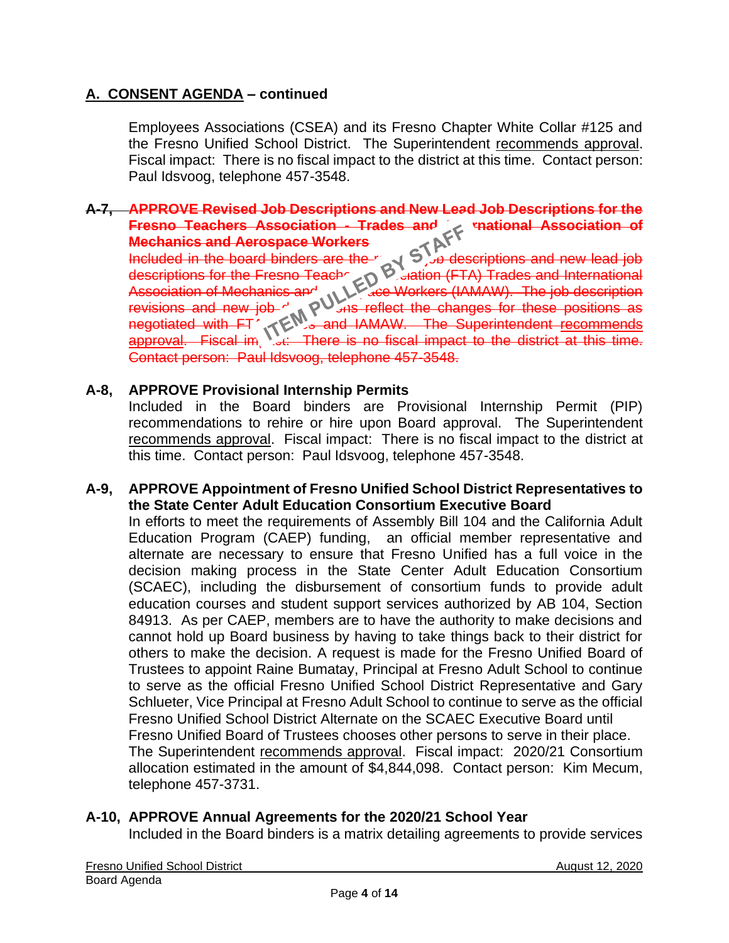Employees Associations (CSEA) and its Fresno Chapter White Collar #125 and the Fresno Unified School District. The Superintendent recommends approval. Fiscal impact: There is no fiscal impact to the district at this time. Contact person: Paul Idsvoog, telephone 457-3548.

#### **A-7, APPROVE Revised Job Descriptions and New Lead Job Descriptions for the Fresno Teachers Association - Trades and Mechanics and Aerospace Workers**

Included in the board binders are the  $r_{\text{av}}$   $\sim$   $\sim$  descriptions and new lead job descriptions for the Fresno Teachers Association (FTA) Trades and International Association of Mechanics and ALL ace Workers (IAMAW). The job description revisions and new job  $\gamma_{ab}$   $\rho_{\text{max}}$  reflect the changes for these positions as negotiated with FT<sup>h</sup> Trades and IAMAW. The Superintendent recommends approval. Fiscal im, sulf-There is no fiscal impact to the district at this time. Contact person: Paul Idsvoog, telephone 457-3548.

## **A-8, APPROVE Provisional Internship Permits**

Included in the Board binders are Provisional Internship Permit (PIP) recommendations to rehire or hire upon Board approval. The Superintendent recommends approval. Fiscal impact: There is no fiscal impact to the district at this time. Contact person: Paul Idsvoog, telephone 457-3548.

#### **A-9, APPROVE Appointment of Fresno Unified School District Representatives to the State Center Adult Education Consortium Executive Board**

In efforts to meet the requirements of Assembly Bill 104 and the California Adult Education Program (CAEP) funding, an official member representative and alternate are necessary to ensure that Fresno Unified has a full voice in the decision making process in the State Center Adult Education Consortium (SCAEC), including the disbursement of consortium funds to provide adult education courses and student support services authorized by AB 104, Section 84913. As per CAEP, members are to have the authority to make decisions and cannot hold up Board business by having to take things back to their district for others to make the decision. A request is made for the Fresno Unified Board of Trustees to appoint Raine Bumatay, Principal at Fresno Adult School to continue to serve as the official Fresno Unified School District Representative and Gary Schlueter, Vice Principal at Fresno Adult School to continue to serve as the official Fresno Unified School District Alternate on the SCAEC Executive Board until Fresno Unified Board of Trustees chooses other persons to serve in their place. The Superintendent recommends approval. Fiscal impact: 2020/21 Consortium allocation estimated in the amount of \$4,844,098. Contact person: Kim Mecum, telephone 457-3731.

## **A-10, APPROVE Annual Agreements for the 2020/21 School Year**

Included in the Board binders is a matrix detailing agreements to provide services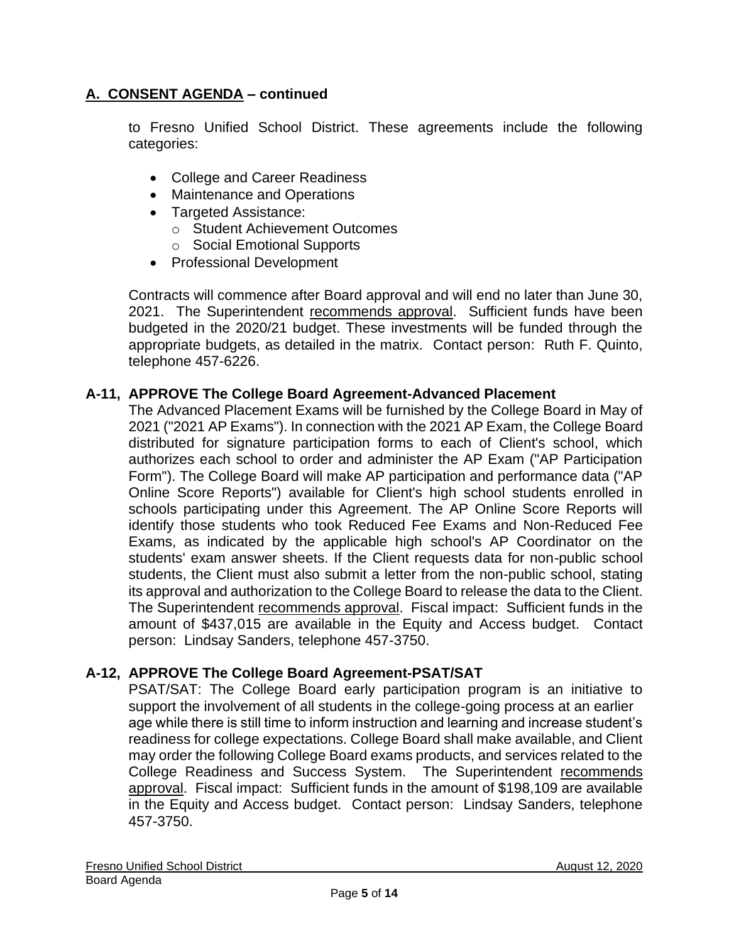to Fresno Unified School District. These agreements include the following categories:

- College and Career Readiness
- Maintenance and Operations
- Targeted Assistance:
	- o Student Achievement Outcomes
	- o Social Emotional Supports
- Professional Development

Contracts will commence after Board approval and will end no later than June 30, 2021. The Superintendent recommends approval. Sufficient funds have been budgeted in the 2020/21 budget. These investments will be funded through the appropriate budgets, as detailed in the matrix. Contact person: Ruth F. Quinto, telephone 457-6226.

## **A-11, APPROVE The College Board Agreement-Advanced Placement**

The Advanced Placement Exams will be furnished by the College Board in May of 2021 ("2021 AP Exams"). In connection with the 2021 AP Exam, the College Board distributed for signature participation forms to each of Client's school, which authorizes each school to order and administer the AP Exam ("AP Participation Form"). The College Board will make AP participation and performance data ("AP Online Score Reports") available for Client's high school students enrolled in schools participating under this Agreement. The AP Online Score Reports will identify those students who took Reduced Fee Exams and Non-Reduced Fee Exams, as indicated by the applicable high school's AP Coordinator on the students' exam answer sheets. If the Client requests data for non-public school students, the Client must also submit a letter from the non-public school, stating its approval and authorization to the College Board to release the data to the Client. The Superintendent recommends approval. Fiscal impact: Sufficient funds in the amount of \$437,015 are available in the Equity and Access budget. Contact person: Lindsay Sanders, telephone 457-3750.

## **A-12, APPROVE The College Board Agreement-PSAT/SAT**

PSAT/SAT: The College Board early participation program is an initiative to support the involvement of all students in the college-going process at an earlier age while there is still time to inform instruction and learning and increase student's readiness for college expectations. College Board shall make available, and Client may order the following College Board exams products, and services related to the College Readiness and Success System. The Superintendent recommends approval. Fiscal impact: Sufficient funds in the amount of \$198,109 are available in the Equity and Access budget. Contact person: Lindsay Sanders, telephone 457-3750.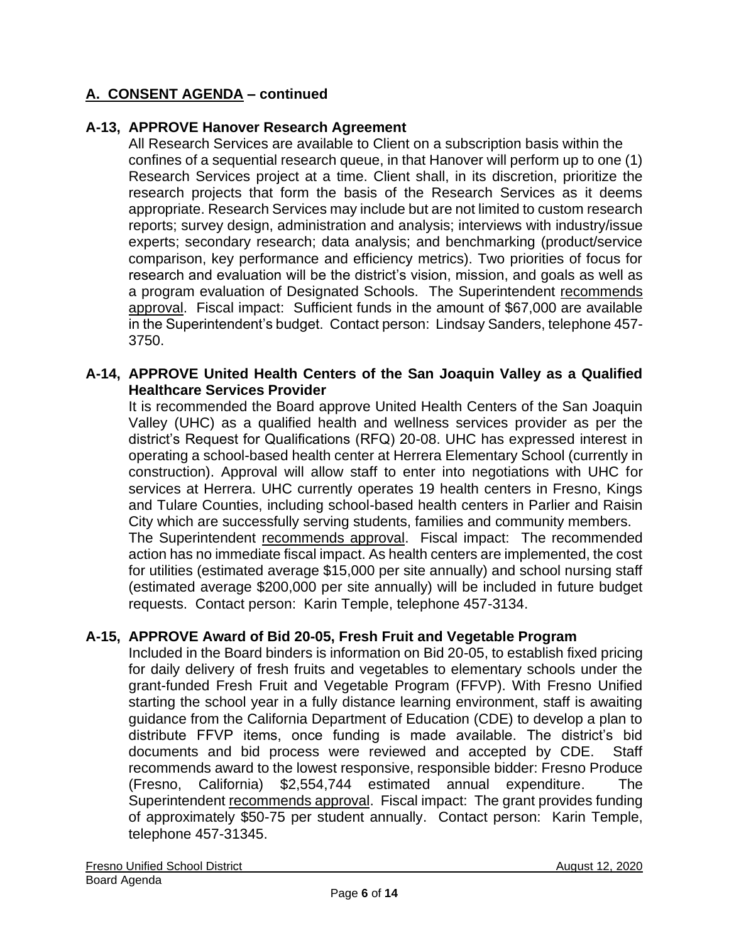### **A-13, APPROVE Hanover Research Agreement**

All Research Services are available to Client on a subscription basis within the confines of a sequential research queue, in that Hanover will perform up to one (1) Research Services project at a time. Client shall, in its discretion, prioritize the research projects that form the basis of the Research Services as it deems appropriate. Research Services may include but are not limited to custom research reports; survey design, administration and analysis; interviews with industry/issue experts; secondary research; data analysis; and benchmarking (product/service comparison, key performance and efficiency metrics). Two priorities of focus for research and evaluation will be the district's vision, mission, and goals as well as a program evaluation of Designated Schools. The Superintendent recommends approval. Fiscal impact: Sufficient funds in the amount of \$67,000 are available in the Superintendent's budget. Contact person: Lindsay Sanders, telephone 457- 3750.

#### **A-14, APPROVE United Health Centers of the San Joaquin Valley as a Qualified Healthcare Services Provider**

It is recommended the Board approve United Health Centers of the San Joaquin Valley (UHC) as a qualified health and wellness services provider as per the district's Request for Qualifications (RFQ) 20-08. UHC has expressed interest in operating a school-based health center at Herrera Elementary School (currently in construction). Approval will allow staff to enter into negotiations with UHC for services at Herrera. UHC currently operates 19 health centers in Fresno, Kings and Tulare Counties, including school-based health centers in Parlier and Raisin City which are successfully serving students, families and community members. The Superintendent recommends approval. Fiscal impact: The recommended action has no immediate fiscal impact. As health centers are implemented, the cost

for utilities (estimated average \$15,000 per site annually) and school nursing staff (estimated average \$200,000 per site annually) will be included in future budget requests. Contact person: Karin Temple, telephone 457-3134.

## **A-15, APPROVE Award of Bid 20-05, Fresh Fruit and Vegetable Program**

Included in the Board binders is information on Bid 20-05, to establish fixed pricing for daily delivery of fresh fruits and vegetables to elementary schools under the grant-funded Fresh Fruit and Vegetable Program (FFVP). With Fresno Unified starting the school year in a fully distance learning environment, staff is awaiting guidance from the California Department of Education (CDE) to develop a plan to distribute FFVP items, once funding is made available. The district's bid documents and bid process were reviewed and accepted by CDE. Staff recommends award to the lowest responsive, responsible bidder: Fresno Produce (Fresno, California) \$2,554,744 estimated annual expenditure. The Superintendent recommends approval. Fiscal impact: The grant provides funding of approximately \$50-75 per student annually. Contact person: Karin Temple, telephone 457-31345.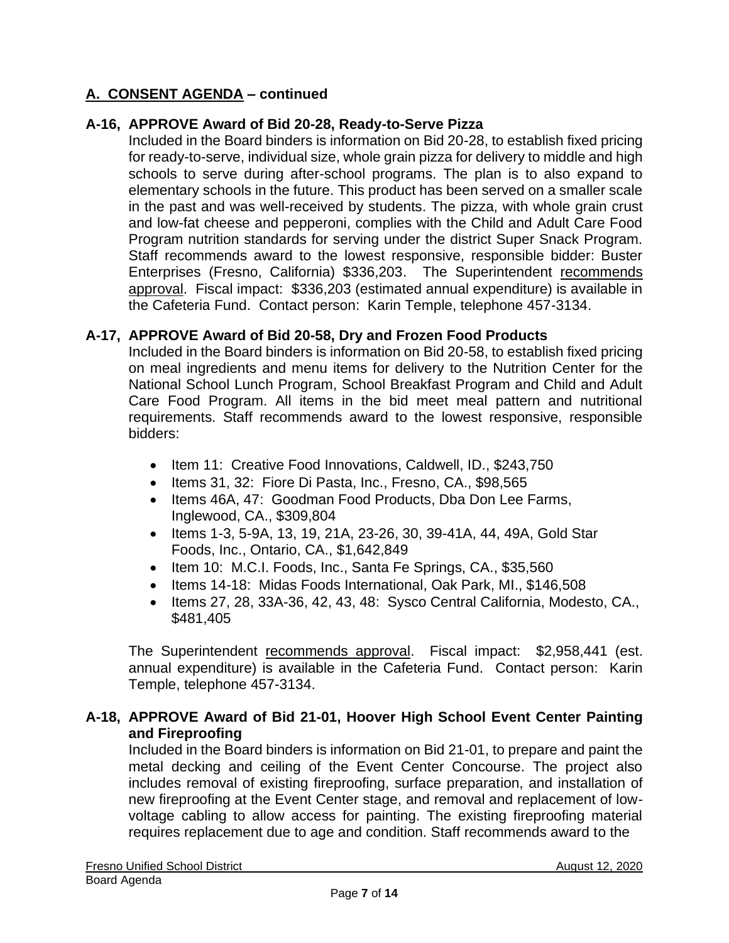## **A-16, APPROVE Award of Bid 20-28, Ready-to-Serve Pizza**

Included in the Board binders is information on Bid 20-28, to establish fixed pricing for ready-to-serve, individual size, whole grain pizza for delivery to middle and high schools to serve during after-school programs. The plan is to also expand to elementary schools in the future. This product has been served on a smaller scale in the past and was well-received by students. The pizza, with whole grain crust and low-fat cheese and pepperoni, complies with the Child and Adult Care Food Program nutrition standards for serving under the district Super Snack Program. Staff recommends award to the lowest responsive, responsible bidder: Buster Enterprises (Fresno, California) \$336,203. The Superintendent recommends approval. Fiscal impact: \$336,203 (estimated annual expenditure) is available in the Cafeteria Fund. Contact person: Karin Temple, telephone 457-3134.

#### **A-17, APPROVE Award of Bid 20-58, Dry and Frozen Food Products**

Included in the Board binders is information on Bid 20-58, to establish fixed pricing on meal ingredients and menu items for delivery to the Nutrition Center for the National School Lunch Program, School Breakfast Program and Child and Adult Care Food Program. All items in the bid meet meal pattern and nutritional requirements. Staff recommends award to the lowest responsive, responsible bidders:

- Item 11: Creative Food Innovations, Caldwell, ID., \$243,750
- Items 31, 32: Fiore Di Pasta, Inc., Fresno, CA., \$98,565
- Items 46A, 47: Goodman Food Products, Dba Don Lee Farms, Inglewood, CA., \$309,804
- Items 1-3, 5-9A, 13, 19, 21A, 23-26, 30, 39-41A, 44, 49A, Gold Star Foods, Inc., Ontario, CA., \$1,642,849
- Item 10: M.C.I. Foods, Inc., Santa Fe Springs, CA., \$35,560
- Items 14-18: Midas Foods International, Oak Park, MI., \$146,508
- Items 27, 28, 33A-36, 42, 43, 48: Sysco Central California, Modesto, CA., \$481,405

The Superintendent recommends approval. Fiscal impact: \$2,958,441 (est. annual expenditure) is available in the Cafeteria Fund. Contact person: Karin Temple, telephone 457-3134.

#### **A-18, APPROVE Award of Bid 21-01, Hoover High School Event Center Painting and Fireproofing**

Included in the Board binders is information on Bid 21-01, to prepare and paint the metal decking and ceiling of the Event Center Concourse. The project also includes removal of existing fireproofing, surface preparation, and installation of new fireproofing at the Event Center stage, and removal and replacement of lowvoltage cabling to allow access for painting. The existing fireproofing material requires replacement due to age and condition. Staff recommends award to the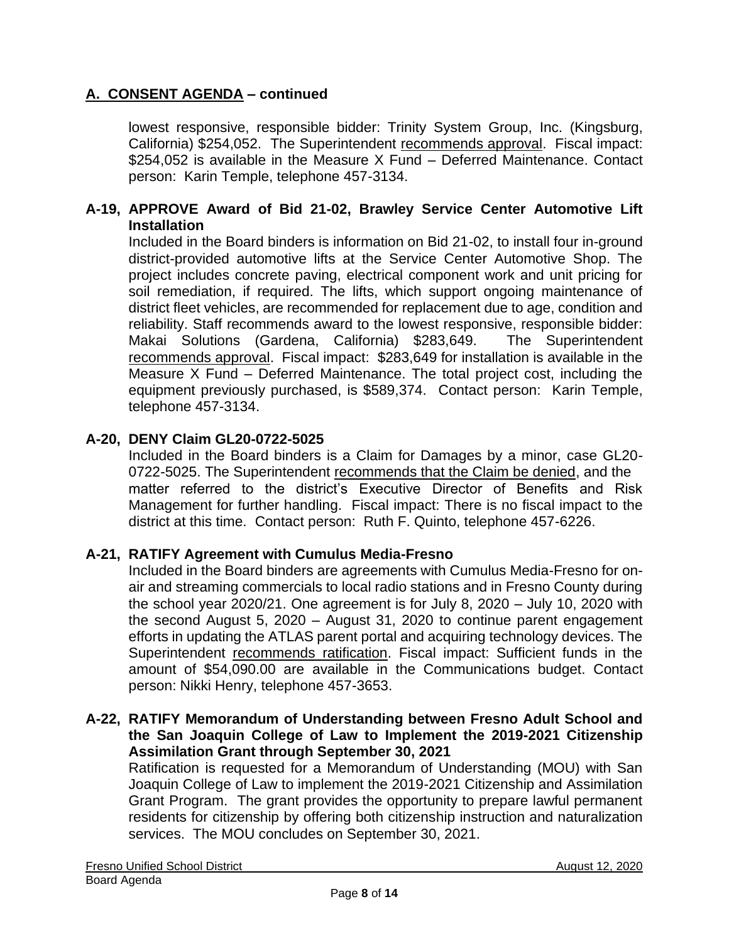lowest responsive, responsible bidder: Trinity System Group, Inc. (Kingsburg, California) \$254,052. The Superintendent recommends approval. Fiscal impact: \$254,052 is available in the Measure X Fund – Deferred Maintenance. Contact person: Karin Temple, telephone 457-3134.

#### **A-19, APPROVE Award of Bid 21-02, Brawley Service Center Automotive Lift Installation**

Included in the Board binders is information on Bid 21-02, to install four in-ground district-provided automotive lifts at the Service Center Automotive Shop. The project includes concrete paving, electrical component work and unit pricing for soil remediation, if required. The lifts, which support ongoing maintenance of district fleet vehicles, are recommended for replacement due to age, condition and reliability. Staff recommends award to the lowest responsive, responsible bidder: Makai Solutions (Gardena, California) \$283,649. The Superintendent recommends approval. Fiscal impact: \$283,649 for installation is available in the Measure X Fund – Deferred Maintenance. The total project cost, including the equipment previously purchased, is \$589,374. Contact person: Karin Temple, telephone 457-3134.

## **A-20, DENY Claim GL20-0722-5025**

Included in the Board binders is a Claim for Damages by a minor, case GL20- 0722-5025. The Superintendent recommends that the Claim be denied, and the matter referred to the district's Executive Director of Benefits and Risk Management for further handling. Fiscal impact: There is no fiscal impact to the district at this time. Contact person: Ruth F. Quinto, telephone 457-6226.

#### **A-21, RATIFY Agreement with Cumulus Media-Fresno**

Included in the Board binders are agreements with Cumulus Media-Fresno for onair and streaming commercials to local radio stations and in Fresno County during the school year 2020/21. One agreement is for July 8, 2020 – July 10, 2020 with the second August 5, 2020 – August 31, 2020 to continue parent engagement efforts in updating the ATLAS parent portal and acquiring technology devices. The Superintendent recommends ratification. Fiscal impact: Sufficient funds in the amount of \$54,090.00 are available in the Communications budget. Contact person: Nikki Henry, telephone 457-3653.

#### **A-22, RATIFY Memorandum of Understanding between Fresno Adult School and the San Joaquin College of Law to Implement the 2019-2021 Citizenship Assimilation Grant through September 30, 2021**

Ratification is requested for a Memorandum of Understanding (MOU) with San Joaquin College of Law to implement the 2019-2021 Citizenship and Assimilation Grant Program. The grant provides the opportunity to prepare lawful permanent residents for citizenship by offering both citizenship instruction and naturalization services. The MOU concludes on September 30, 2021.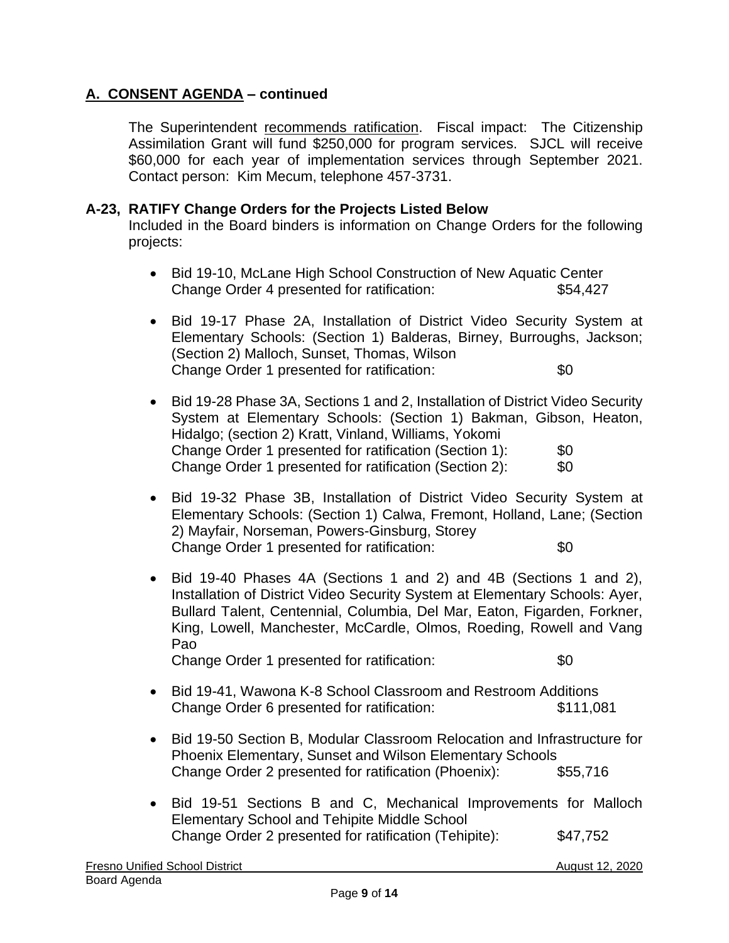The Superintendent recommends ratification. Fiscal impact: The Citizenship Assimilation Grant will fund \$250,000 for program services. SJCL will receive \$60,000 for each year of implementation services through September 2021. Contact person: Kim Mecum, telephone 457-3731.

#### **A-23, RATIFY Change Orders for the Projects Listed Below**

Included in the Board binders is information on Change Orders for the following projects:

- Bid 19-10, McLane High School Construction of New Aquatic Center Change Order 4 presented for ratification: \$54,427
- Bid 19-17 Phase 2A, Installation of District Video Security System at Elementary Schools: (Section 1) Balderas, Birney, Burroughs, Jackson; (Section 2) Malloch, Sunset, Thomas, Wilson Change Order 1 presented for ratification:  $$0$
- Bid 19-28 Phase 3A, Sections 1 and 2, Installation of District Video Security System at Elementary Schools: (Section 1) Bakman, Gibson, Heaton, Hidalgo; (section 2) Kratt, Vinland, Williams, Yokomi Change Order 1 presented for ratification (Section 1): \$0 Change Order 1 presented for ratification (Section 2): \$0
- Bid 19-32 Phase 3B, Installation of District Video Security System at Elementary Schools: (Section 1) Calwa, Fremont, Holland, Lane; (Section 2) Mayfair, Norseman, Powers-Ginsburg, Storey Change Order 1 presented for ratification:  $$0$
- Bid 19-40 Phases 4A (Sections 1 and 2) and 4B (Sections 1 and 2), Installation of District Video Security System at Elementary Schools: Ayer, Bullard Talent, Centennial, Columbia, Del Mar, Eaton, Figarden, Forkner, King, Lowell, Manchester, McCardle, Olmos, Roeding, Rowell and Vang Pao Change Order 1 presented for ratification:  $$0$

• Bid 19-41, Wawona K-8 School Classroom and Restroom Additions

- Change Order 6 presented for ratification: \$111,081
- Bid 19-50 Section B, Modular Classroom Relocation and Infrastructure for Phoenix Elementary, Sunset and Wilson Elementary Schools Change Order 2 presented for ratification (Phoenix): \$55,716
- Bid 19-51 Sections B and C, Mechanical Improvements for Malloch Elementary School and Tehipite Middle School Change Order 2 presented for ratification (Tehipite): \$47,752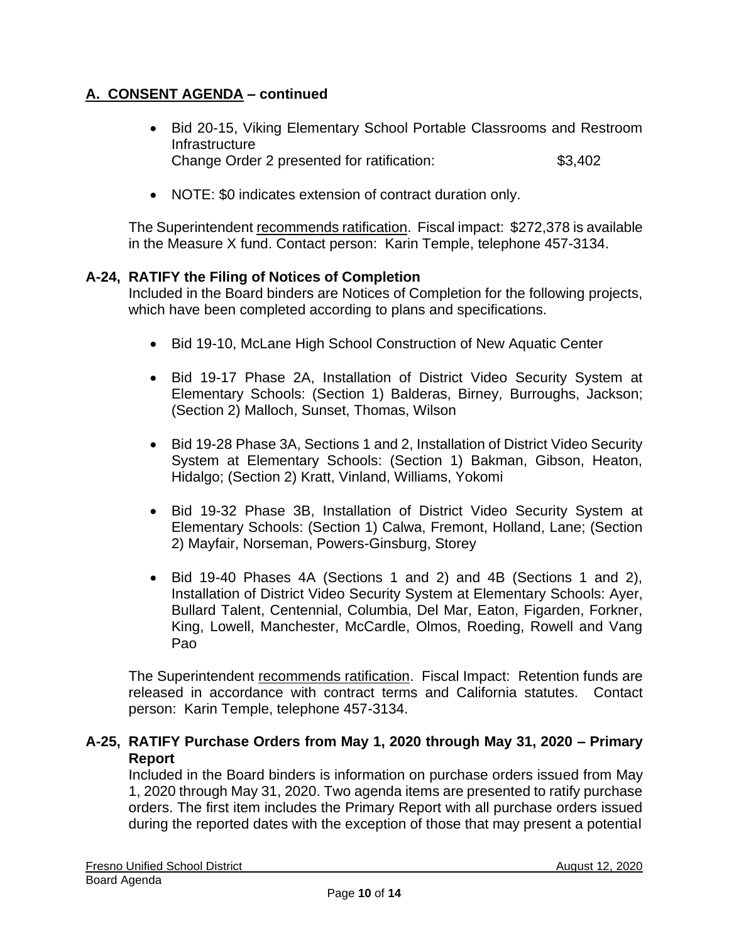- Bid 20-15, Viking Elementary School Portable Classrooms and Restroom **Infrastructure** Change Order 2 presented for ratification: \$3,402
- NOTE: \$0 indicates extension of contract duration only.

The Superintendent recommends ratification. Fiscal impact: \$272,378 is available in the Measure X fund. Contact person: Karin Temple, telephone 457-3134.

#### **A-24, RATIFY the Filing of Notices of Completion**

Included in the Board binders are Notices of Completion for the following projects, which have been completed according to plans and specifications.

- Bid 19-10, McLane High School Construction of New Aquatic Center
- Bid 19-17 Phase 2A, Installation of District Video Security System at Elementary Schools: (Section 1) Balderas, Birney, Burroughs, Jackson; (Section 2) Malloch, Sunset, Thomas, Wilson
- Bid 19-28 Phase 3A, Sections 1 and 2, Installation of District Video Security System at Elementary Schools: (Section 1) Bakman, Gibson, Heaton, Hidalgo; (Section 2) Kratt, Vinland, Williams, Yokomi
- Bid 19-32 Phase 3B, Installation of District Video Security System at Elementary Schools: (Section 1) Calwa, Fremont, Holland, Lane; (Section 2) Mayfair, Norseman, Powers-Ginsburg, Storey
- Bid 19-40 Phases 4A (Sections 1 and 2) and 4B (Sections 1 and 2), Installation of District Video Security System at Elementary Schools: Ayer, Bullard Talent, Centennial, Columbia, Del Mar, Eaton, Figarden, Forkner, King, Lowell, Manchester, McCardle, Olmos, Roeding, Rowell and Vang Pao

The Superintendent recommends ratification. Fiscal Impact: Retention funds are released in accordance with contract terms and California statutes. Contact person: Karin Temple, telephone 457-3134.

#### **A-25, RATIFY Purchase Orders from May 1, 2020 through May 31, 2020 – Primary Report**

Included in the Board binders is information on purchase orders issued from May 1, 2020 through May 31, 2020. Two agenda items are presented to ratify purchase orders. The first item includes the Primary Report with all purchase orders issued during the reported dates with the exception of those that may present a potential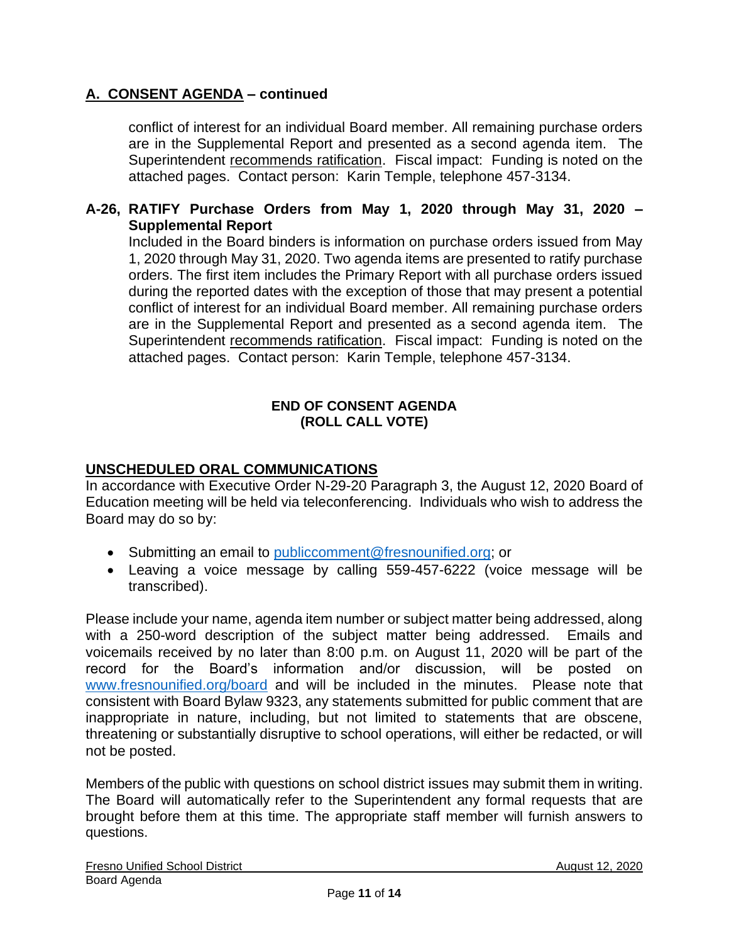conflict of interest for an individual Board member. All remaining purchase orders are in the Supplemental Report and presented as a second agenda item. The Superintendent recommends ratification. Fiscal impact: Funding is noted on the attached pages. Contact person: Karin Temple, telephone 457-3134.

#### **A-26, RATIFY Purchase Orders from May 1, 2020 through May 31, 2020 – Supplemental Report**

Included in the Board binders is information on purchase orders issued from May 1, 2020 through May 31, 2020. Two agenda items are presented to ratify purchase orders. The first item includes the Primary Report with all purchase orders issued during the reported dates with the exception of those that may present a potential conflict of interest for an individual Board member. All remaining purchase orders are in the Supplemental Report and presented as a second agenda item. The Superintendent recommends ratification. Fiscal impact: Funding is noted on the attached pages. Contact person: Karin Temple, telephone 457-3134.

#### **END OF CONSENT AGENDA (ROLL CALL VOTE)**

## **UNSCHEDULED ORAL COMMUNICATIONS**

In accordance with Executive Order N-29-20 Paragraph 3, the August 12, 2020 Board of Education meeting will be held via teleconferencing. Individuals who wish to address the Board may do so by:

- Submitting an email to [publiccomment@fresnounified.org;](mailto:publiccomment@fresnounified.org) or
- Leaving a voice message by calling 559-457-6222 (voice message will be transcribed).

Please include your name, agenda item number or subject matter being addressed, along with a 250-word description of the subject matter being addressed. Emails and voicemails received by no later than 8:00 p.m. on August 11, 2020 will be part of the record for the Board's information and/or discussion, will be posted on [www.fresnounified.org/board](http://www.fresnounified.org/board) and will be included in the minutes. Please note that consistent with Board Bylaw 9323, any statements submitted for public comment that are inappropriate in nature, including, but not limited to statements that are obscene, threatening or substantially disruptive to school operations, will either be redacted, or will not be posted.

Members of the public with questions on school district issues may submit them in writing. The Board will automatically refer to the Superintendent any formal requests that are brought before them at this time. The appropriate staff member will furnish answers to questions.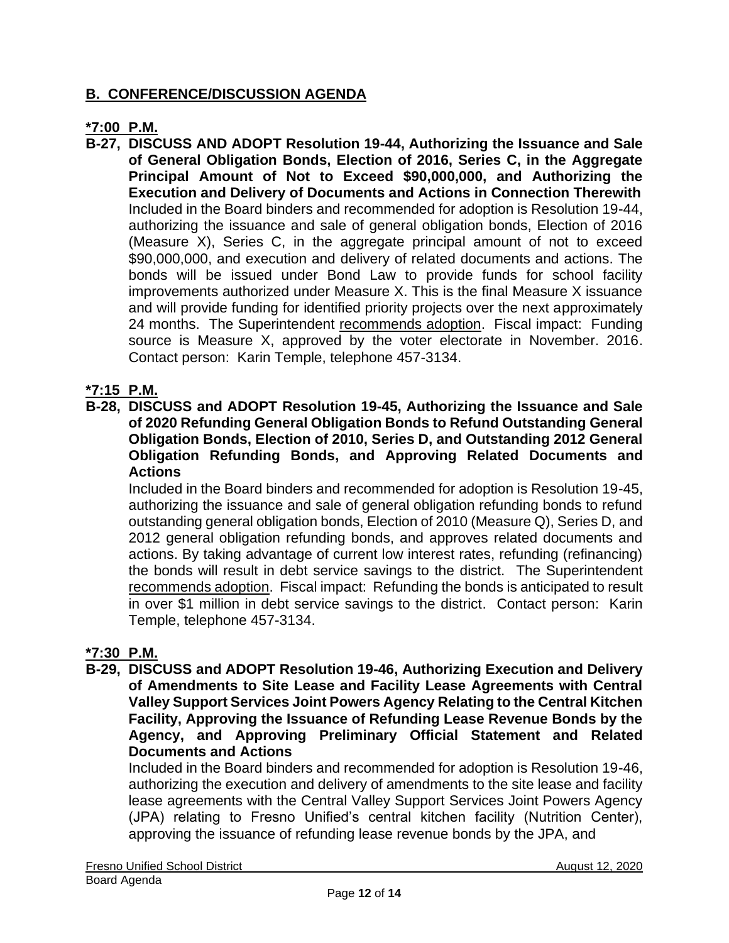# **B. CONFERENCE/DISCUSSION AGENDA**

## **\*7:00 P.M.**

**B-27, DISCUSS AND ADOPT Resolution 19-44, Authorizing the Issuance and Sale of General Obligation Bonds, Election of 2016, Series C, in the Aggregate Principal Amount of Not to Exceed \$90,000,000, and Authorizing the Execution and Delivery of Documents and Actions in Connection Therewith** Included in the Board binders and recommended for adoption is Resolution 19-44, authorizing the issuance and sale of general obligation bonds, Election of 2016 (Measure X), Series C, in the aggregate principal amount of not to exceed \$90,000,000, and execution and delivery of related documents and actions. The bonds will be issued under Bond Law to provide funds for school facility improvements authorized under Measure X. This is the final Measure X issuance and will provide funding for identified priority projects over the next approximately 24 months. The Superintendent recommends adoption. Fiscal impact: Funding source is Measure X, approved by the voter electorate in November. 2016. Contact person: Karin Temple, telephone 457-3134.

#### **\*7:15 P.M.**

**B-28, DISCUSS and ADOPT Resolution 19-45, Authorizing the Issuance and Sale of 2020 Refunding General Obligation Bonds to Refund Outstanding General Obligation Bonds, Election of 2010, Series D, and Outstanding 2012 General Obligation Refunding Bonds, and Approving Related Documents and Actions**

Included in the Board binders and recommended for adoption is Resolution 19-45, authorizing the issuance and sale of general obligation refunding bonds to refund outstanding general obligation bonds, Election of 2010 (Measure Q), Series D, and 2012 general obligation refunding bonds, and approves related documents and actions. By taking advantage of current low interest rates, refunding (refinancing) the bonds will result in debt service savings to the district. The Superintendent recommends adoption. Fiscal impact: Refunding the bonds is anticipated to result in over \$1 million in debt service savings to the district. Contact person: Karin Temple, telephone 457-3134.

#### **\*7:30 P.M.**

**B-29, DISCUSS and ADOPT Resolution 19-46, Authorizing Execution and Delivery of Amendments to Site Lease and Facility Lease Agreements with Central Valley Support Services Joint Powers Agency Relating to the Central Kitchen Facility, Approving the Issuance of Refunding Lease Revenue Bonds by the Agency, and Approving Preliminary Official Statement and Related Documents and Actions**

Included in the Board binders and recommended for adoption is Resolution 19-46, authorizing the execution and delivery of amendments to the site lease and facility lease agreements with the Central Valley Support Services Joint Powers Agency (JPA) relating to Fresno Unified's central kitchen facility (Nutrition Center), approving the issuance of refunding lease revenue bonds by the JPA, and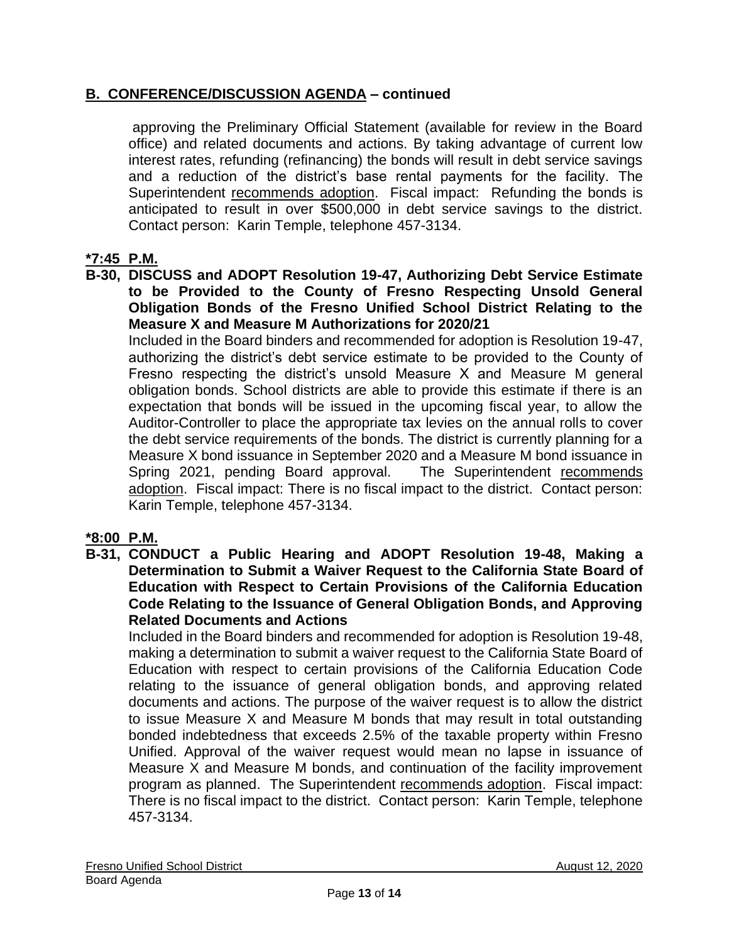# **B. CONFERENCE/DISCUSSION AGENDA – continued**

approving the Preliminary Official Statement (available for review in the Board office) and related documents and actions. By taking advantage of current low interest rates, refunding (refinancing) the bonds will result in debt service savings and a reduction of the district's base rental payments for the facility. The Superintendent recommends adoption. Fiscal impact: Refunding the bonds is anticipated to result in over \$500,000 in debt service savings to the district. Contact person: Karin Temple, telephone 457-3134.

## **\*7:45 P.M.**

**B-30, DISCUSS and ADOPT Resolution 19-47, Authorizing Debt Service Estimate to be Provided to the County of Fresno Respecting Unsold General Obligation Bonds of the Fresno Unified School District Relating to the Measure X and Measure M Authorizations for 2020/21**

Included in the Board binders and recommended for adoption is Resolution 19-47, authorizing the district's debt service estimate to be provided to the County of Fresno respecting the district's unsold Measure X and Measure M general obligation bonds. School districts are able to provide this estimate if there is an expectation that bonds will be issued in the upcoming fiscal year, to allow the Auditor-Controller to place the appropriate tax levies on the annual rolls to cover the debt service requirements of the bonds. The district is currently planning for a Measure X bond issuance in September 2020 and a Measure M bond issuance in Spring 2021, pending Board approval. The Superintendent recommends adoption. Fiscal impact: There is no fiscal impact to the district. Contact person: Karin Temple, telephone 457-3134.

## **\*8:00 P.M.**

**B-31, CONDUCT a Public Hearing and ADOPT Resolution 19-48, Making a Determination to Submit a Waiver Request to the California State Board of Education with Respect to Certain Provisions of the California Education Code Relating to the Issuance of General Obligation Bonds, and Approving Related Documents and Actions**

Included in the Board binders and recommended for adoption is Resolution 19-48, making a determination to submit a waiver request to the California State Board of Education with respect to certain provisions of the California Education Code relating to the issuance of general obligation bonds, and approving related documents and actions. The purpose of the waiver request is to allow the district to issue Measure X and Measure M bonds that may result in total outstanding bonded indebtedness that exceeds 2.5% of the taxable property within Fresno Unified. Approval of the waiver request would mean no lapse in issuance of Measure X and Measure M bonds, and continuation of the facility improvement program as planned. The Superintendent recommends adoption. Fiscal impact: There is no fiscal impact to the district. Contact person: Karin Temple, telephone 457-3134.